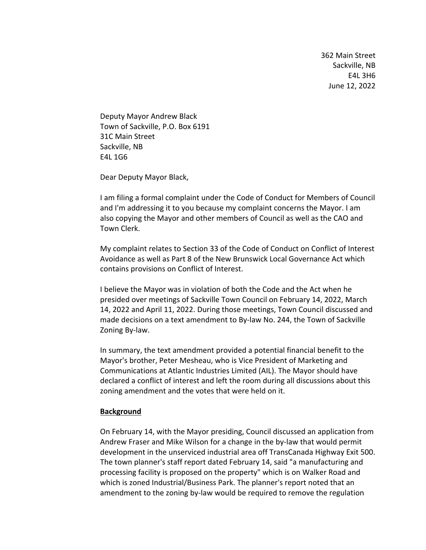362 Main Street Sackville, NB E4L 3H6 June 12, 2022

Deputy Mayor Andrew Black Town of Sackville, P.O. Box 6191 31C Main Street Sackville, NB E4L 1G6

Dear Deputy Mayor Black,

I am filing a formal complaint under the Code of Conduct for Members of Council and I'm addressing it to you because my complaint concerns the Mayor. I am also copying the Mayor and other members of Council as well as the CAO and Town Clerk.

My complaint relates to Section 33 of the Code of Conduct on Conflict of Interest Avoidance as well as Part 8 of the New Brunswick Local Governance Act which contains provisions on Conflict of Interest.

I believe the Mayor was in violation of both the Code and the Act when he presided over meetings of Sackville Town Council on February 14, 2022, March 14, 2022 and April 11, 2022. During those meetings, Town Council discussed and made decisions on a text amendment to By-law No. 244, the Town of Sackville Zoning By-law.

In summary, the text amendment provided a potential financial benefit to the Mayor's brother, Peter Mesheau, who is Vice President of Marketing and Communications at Atlantic Industries Limited (AIL). The Mayor should have declared a conflict of interest and left the room during all discussions about this zoning amendment and the votes that were held on it.

#### **Background**

On February 14, with the Mayor presiding, Council discussed an application from Andrew Fraser and Mike Wilson for a change in the by-law that would permit development in the unserviced industrial area off TransCanada Highway Exit 500. The town planner's staff report dated February 14, said "a manufacturing and processing facility is proposed on the property" which is on Walker Road and which is zoned Industrial/Business Park. The planner's report noted that an amendment to the zoning by-law would be required to remove the regulation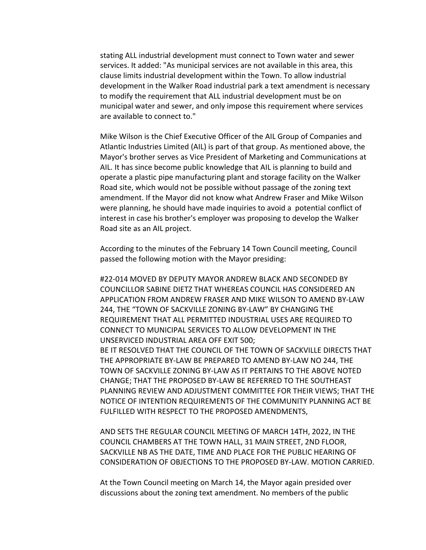stating ALL industrial development must connect to Town water and sewer services. It added: "As municipal services are not available in this area, this clause limits industrial development within the Town. To allow industrial development in the Walker Road industrial park a text amendment is necessary to modify the requirement that ALL industrial development must be on municipal water and sewer, and only impose this requirement where services are available to connect to."

Mike Wilson is the Chief Executive Officer of the AIL Group of Companies and Atlantic Industries Limited (AIL) is part of that group. As mentioned above, the Mayor's brother serves as Vice President of Marketing and Communications at AIL. It has since become public knowledge that AIL is planning to build and operate a plastic pipe manufacturing plant and storage facility on the Walker Road site, which would not be possible without passage of the zoning text amendment. If the Mayor did not know what Andrew Fraser and Mike Wilson were planning, he should have made inquiries to avoid a potential conflict of interest in case his brother's employer was proposing to develop the Walker Road site as an AIL project.

According to the minutes of the February 14 Town Council meeting, Council passed the following motion with the Mayor presiding:

#22-014 MOVED BY DEPUTY MAYOR ANDREW BLACK AND SECONDED BY COUNCILLOR SABINE DIETZ THAT WHEREAS COUNCIL HAS CONSIDERED AN APPLICATION FROM ANDREW FRASER AND MIKE WILSON TO AMEND BY-LAW 244, THE "TOWN OF SACKVILLE ZONING BY-LAW" BY CHANGING THE REQUIREMENT THAT ALL PERMITTED INDUSTRIAL USES ARE REQUIRED TO CONNECT TO MUNICIPAL SERVICES TO ALLOW DEVELOPMENT IN THE UNSERVICED INDUSTRIAL AREA OFF EXIT 500; BE IT RESOLVED THAT THE COUNCIL OF THE TOWN OF SACKVILLE DIRECTS THAT THE APPROPRIATE BY-LAW BE PREPARED TO AMEND BY-LAW NO 244, THE TOWN OF SACKVILLE ZONING BY-LAW AS IT PERTAINS TO THE ABOVE NOTED CHANGE; THAT THE PROPOSED BY-LAW BE REFERRED TO THE SOUTHEAST PLANNING REVIEW AND ADJUSTMENT COMMITTEE FOR THEIR VIEWS; THAT THE NOTICE OF INTENTION REQUIREMENTS OF THE COMMUNITY PLANNING ACT BE FULFILLED WITH RESPECT TO THE PROPOSED AMENDMENTS,

AND SETS THE REGULAR COUNCIL MEETING OF MARCH 14TH, 2022, IN THE COUNCIL CHAMBERS AT THE TOWN HALL, 31 MAIN STREET, 2ND FLOOR, SACKVILLE NB AS THE DATE, TIME AND PLACE FOR THE PUBLIC HEARING OF CONSIDERATION OF OBJECTIONS TO THE PROPOSED BY-LAW. MOTION CARRIED.

At the Town Council meeting on March 14, the Mayor again presided over discussions about the zoning text amendment. No members of the public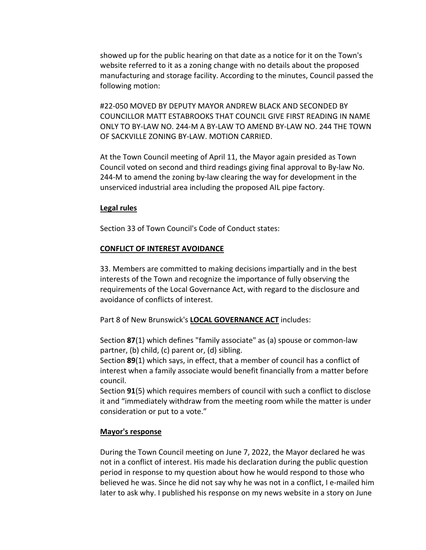showed up for the public hearing on that date as a notice for it on the Town's website referred to it as a zoning change with no details about the proposed manufacturing and storage facility. According to the minutes, Council passed the following motion:

#22-050 MOVED BY DEPUTY MAYOR ANDREW BLACK AND SECONDED BY COUNCILLOR MATT ESTABROOKS THAT COUNCIL GIVE FIRST READING IN NAME ONLY TO BY-LAW NO. 244-M A BY-LAW TO AMEND BY-LAW NO. 244 THE TOWN OF SACKVILLE ZONING BY-LAW. MOTION CARRIED.

At the Town Council meeting of April 11, the Mayor again presided as Town Council voted on second and third readings giving final approval to By-law No. 244-M to amend the zoning by-law clearing the way for development in the unserviced industrial area including the proposed AIL pipe factory.

## **Legal rules**

Section 33 of Town Council's Code of Conduct states:

## **CONFLICT OF INTEREST AVOIDANCE**

33. Members are committed to making decisions impartially and in the best interests of the Town and recognize the importance of fully observing the requirements of the Local Governance Act, with regard to the disclosure and avoidance of conflicts of interest.

Part 8 of New Brunswick's **LOCAL GOVERNANCE ACT** includes:

Section **87**(1) which defines "family associate" as (a) spouse or common-law partner, (b) child, (c) parent or, (d) sibling.

Section **89**(1) which says, in effect, that a member of council has a conflict of interest when a family associate would benefit financially from a matter before council.

Section **91**(5) which requires members of council with such a conflict to disclose it and "immediately withdraw from the meeting room while the matter is under consideration or put to a vote."

# **Mayor's response**

During the Town Council meeting on June 7, 2022, the Mayor declared he was not in a conflict of interest. His made his declaration during the public question period in response to my question about how he would respond to those who believed he was. Since he did not say why he was not in a conflict, I e-mailed him later to ask why. I published his response on my news website in a story on June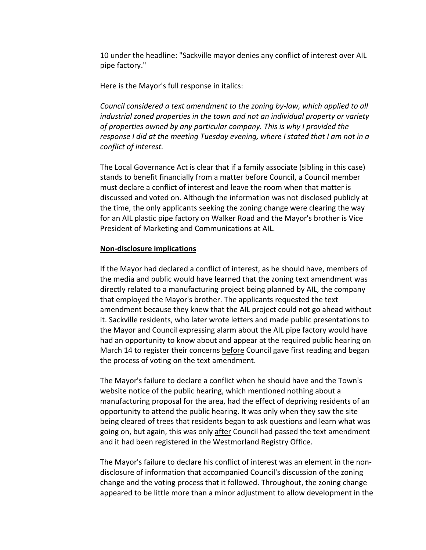10 under the headline: "Sackville mayor denies any conflict of interest over AIL pipe factory."

Here is the Mayor's full response in italics:

*Council considered a text amendment to the zoning by-law, which applied to all industrial zoned properties in the town and not an individual property or variety of properties owned by any particular company. This is why I provided the response I did at the meeting Tuesday evening, where I stated that I am not in a conflict of interest.*

The Local Governance Act is clear that if a family associate (sibling in this case) stands to benefit financially from a matter before Council, a Council member must declare a conflict of interest and leave the room when that matter is discussed and voted on. Although the information was not disclosed publicly at the time, the only applicants seeking the zoning change were clearing the way for an AIL plastic pipe factory on Walker Road and the Mayor's brother is Vice President of Marketing and Communications at AIL.

## **Non-disclosure implications**

If the Mayor had declared a conflict of interest, as he should have, members of the media and public would have learned that the zoning text amendment was directly related to a manufacturing project being planned by AIL, the company that employed the Mayor's brother. The applicants requested the text amendment because they knew that the AIL project could not go ahead without it. Sackville residents, who later wrote letters and made public presentations to the Mayor and Council expressing alarm about the AIL pipe factory would have had an opportunity to know about and appear at the required public hearing on March 14 to register their concerns before Council gave first reading and began the process of voting on the text amendment.

The Mayor's failure to declare a conflict when he should have and the Town's website notice of the public hearing, which mentioned nothing about a manufacturing proposal for the area, had the effect of depriving residents of an opportunity to attend the public hearing. It was only when they saw the site being cleared of trees that residents began to ask questions and learn what was going on, but again, this was only after Council had passed the text amendment and it had been registered in the Westmorland Registry Office.

The Mayor's failure to declare his conflict of interest was an element in the nondisclosure of information that accompanied Council's discussion of the zoning change and the voting process that it followed. Throughout, the zoning change appeared to be little more than a minor adjustment to allow development in the